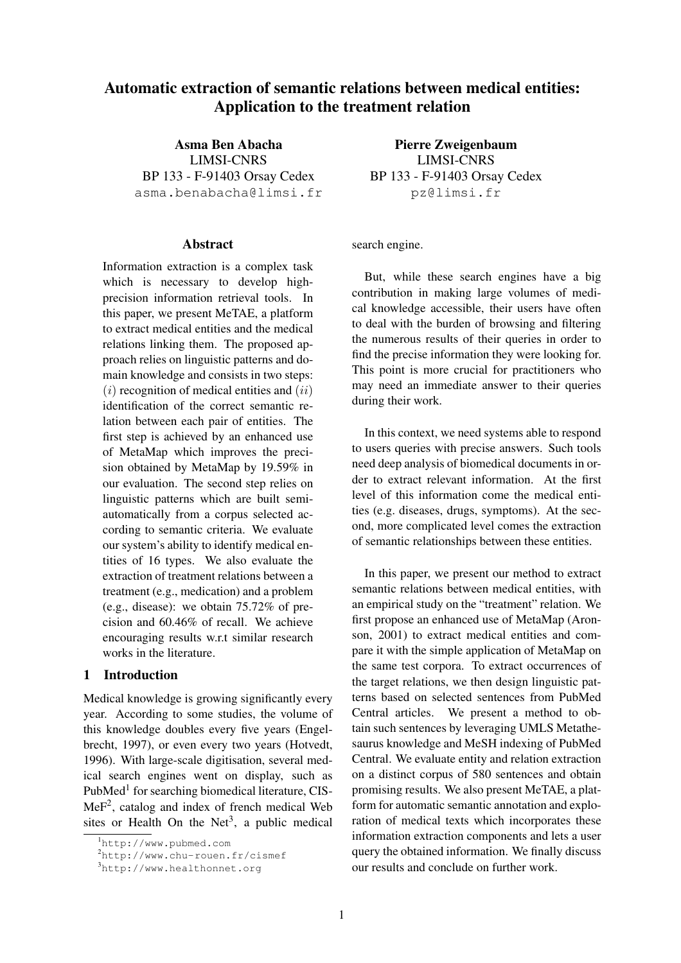# Automatic extraction of semantic relations between medical entities: Application to the treatment relation

Asma Ben Abacha LIMSI-CNRS BP 133 - F-91403 Orsay Cedex asma.benabacha@limsi.fr

#### Abstract

Information extraction is a complex task which is necessary to develop highprecision information retrieval tools. In this paper, we present MeTAE, a platform to extract medical entities and the medical relations linking them. The proposed approach relies on linguistic patterns and domain knowledge and consists in two steps:  $(i)$  recognition of medical entities and  $(ii)$ identification of the correct semantic relation between each pair of entities. The first step is achieved by an enhanced use of MetaMap which improves the precision obtained by MetaMap by 19.59% in our evaluation. The second step relies on linguistic patterns which are built semiautomatically from a corpus selected according to semantic criteria. We evaluate our system's ability to identify medical entities of 16 types. We also evaluate the extraction of treatment relations between a treatment (e.g., medication) and a problem (e.g., disease): we obtain 75.72% of precision and 60.46% of recall. We achieve encouraging results w.r.t similar research works in the literature.

## 1 Introduction

Medical knowledge is growing significantly every year. According to some studies, the volume of this knowledge doubles every five years (Engelbrecht, 1997), or even every two years (Hotvedt, 1996). With large-scale digitisation, several medical search engines went on display, such as PubMed<sup>1</sup> for searching biomedical literature, CIS-MeF<sup>2</sup>, catalog and index of french medical Web sites or Health On the Net<sup>3</sup>, a public medical

Pierre Zweigenbaum LIMSI-CNRS BP 133 - F-91403 Orsay Cedex pz@limsi.fr

search engine.

But, while these search engines have a big contribution in making large volumes of medical knowledge accessible, their users have often to deal with the burden of browsing and filtering the numerous results of their queries in order to find the precise information they were looking for. This point is more crucial for practitioners who may need an immediate answer to their queries during their work.

In this context, we need systems able to respond to users queries with precise answers. Such tools need deep analysis of biomedical documents in order to extract relevant information. At the first level of this information come the medical entities (e.g. diseases, drugs, symptoms). At the second, more complicated level comes the extraction of semantic relationships between these entities.

In this paper, we present our method to extract semantic relations between medical entities, with an empirical study on the "treatment" relation. We first propose an enhanced use of MetaMap (Aronson, 2001) to extract medical entities and compare it with the simple application of MetaMap on the same test corpora. To extract occurrences of the target relations, we then design linguistic patterns based on selected sentences from PubMed Central articles. We present a method to obtain such sentences by leveraging UMLS Metathesaurus knowledge and MeSH indexing of PubMed Central. We evaluate entity and relation extraction on a distinct corpus of 580 sentences and obtain promising results. We also present MeTAE, a platform for automatic semantic annotation and exploration of medical texts which incorporates these information extraction components and lets a user query the obtained information. We finally discuss our results and conclude on further work.

<sup>1</sup>http://www.pubmed.com

<sup>2</sup>http://www.chu-rouen.fr/cismef

<sup>3</sup>http://www.healthonnet.org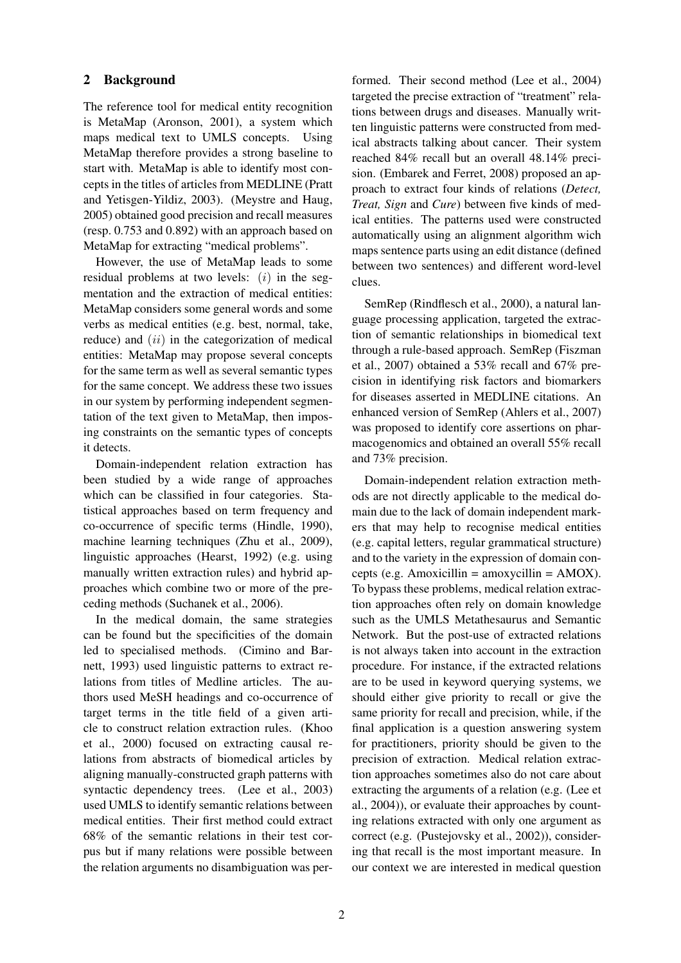## 2 Background

The reference tool for medical entity recognition is MetaMap (Aronson, 2001), a system which maps medical text to UMLS concepts. Using MetaMap therefore provides a strong baseline to start with. MetaMap is able to identify most concepts in the titles of articles from MEDLINE (Pratt and Yetisgen-Yildiz, 2003). (Meystre and Haug, 2005) obtained good precision and recall measures (resp. 0.753 and 0.892) with an approach based on MetaMap for extracting "medical problems".

However, the use of MetaMap leads to some residual problems at two levels:  $(i)$  in the segmentation and the extraction of medical entities: MetaMap considers some general words and some verbs as medical entities (e.g. best, normal, take, reduce) and  $(ii)$  in the categorization of medical entities: MetaMap may propose several concepts for the same term as well as several semantic types for the same concept. We address these two issues in our system by performing independent segmentation of the text given to MetaMap, then imposing constraints on the semantic types of concepts it detects.

Domain-independent relation extraction has been studied by a wide range of approaches which can be classified in four categories. Statistical approaches based on term frequency and co-occurrence of specific terms (Hindle, 1990), machine learning techniques (Zhu et al., 2009), linguistic approaches (Hearst, 1992) (e.g. using manually written extraction rules) and hybrid approaches which combine two or more of the preceding methods (Suchanek et al., 2006).

In the medical domain, the same strategies can be found but the specificities of the domain led to specialised methods. (Cimino and Barnett, 1993) used linguistic patterns to extract relations from titles of Medline articles. The authors used MeSH headings and co-occurrence of target terms in the title field of a given article to construct relation extraction rules. (Khoo et al., 2000) focused on extracting causal relations from abstracts of biomedical articles by aligning manually-constructed graph patterns with syntactic dependency trees. (Lee et al., 2003) used UMLS to identify semantic relations between medical entities. Their first method could extract 68% of the semantic relations in their test corpus but if many relations were possible between the relation arguments no disambiguation was performed. Their second method (Lee et al., 2004) targeted the precise extraction of "treatment" relations between drugs and diseases. Manually written linguistic patterns were constructed from medical abstracts talking about cancer. Their system reached 84% recall but an overall 48.14% precision. (Embarek and Ferret, 2008) proposed an approach to extract four kinds of relations (*Detect, Treat, Sign* and *Cure*) between five kinds of medical entities. The patterns used were constructed automatically using an alignment algorithm wich maps sentence parts using an edit distance (defined between two sentences) and different word-level clues.

SemRep (Rindflesch et al., 2000), a natural language processing application, targeted the extraction of semantic relationships in biomedical text through a rule-based approach. SemRep (Fiszman et al., 2007) obtained a 53% recall and 67% precision in identifying risk factors and biomarkers for diseases asserted in MEDLINE citations. An enhanced version of SemRep (Ahlers et al., 2007) was proposed to identify core assertions on pharmacogenomics and obtained an overall 55% recall and 73% precision.

Domain-independent relation extraction methods are not directly applicable to the medical domain due to the lack of domain independent markers that may help to recognise medical entities (e.g. capital letters, regular grammatical structure) and to the variety in the expression of domain concepts (e.g. Amoxicillin = amoxycillin = AMOX). To bypass these problems, medical relation extraction approaches often rely on domain knowledge such as the UMLS Metathesaurus and Semantic Network. But the post-use of extracted relations is not always taken into account in the extraction procedure. For instance, if the extracted relations are to be used in keyword querying systems, we should either give priority to recall or give the same priority for recall and precision, while, if the final application is a question answering system for practitioners, priority should be given to the precision of extraction. Medical relation extraction approaches sometimes also do not care about extracting the arguments of a relation (e.g. (Lee et al., 2004)), or evaluate their approaches by counting relations extracted with only one argument as correct (e.g. (Pustejovsky et al., 2002)), considering that recall is the most important measure. In our context we are interested in medical question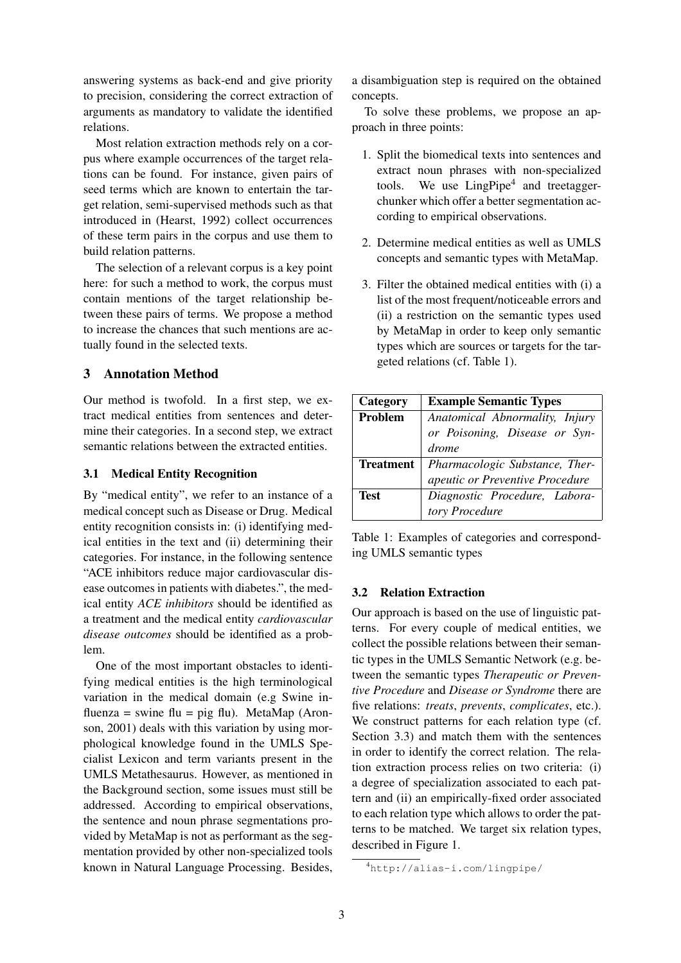answering systems as back-end and give priority to precision, considering the correct extraction of arguments as mandatory to validate the identified relations.

Most relation extraction methods rely on a corpus where example occurrences of the target relations can be found. For instance, given pairs of seed terms which are known to entertain the target relation, semi-supervised methods such as that introduced in (Hearst, 1992) collect occurrences of these term pairs in the corpus and use them to build relation patterns.

The selection of a relevant corpus is a key point here: for such a method to work, the corpus must contain mentions of the target relationship between these pairs of terms. We propose a method to increase the chances that such mentions are actually found in the selected texts.

## 3 Annotation Method

Our method is twofold. In a first step, we extract medical entities from sentences and determine their categories. In a second step, we extract semantic relations between the extracted entities.

## 3.1 Medical Entity Recognition

By "medical entity", we refer to an instance of a medical concept such as Disease or Drug. Medical entity recognition consists in: (i) identifying medical entities in the text and (ii) determining their categories. For instance, in the following sentence "ACE inhibitors reduce major cardiovascular disease outcomes in patients with diabetes.", the medical entity *ACE inhibitors* should be identified as a treatment and the medical entity *cardiovascular disease outcomes* should be identified as a problem.

One of the most important obstacles to identifying medical entities is the high terminological variation in the medical domain (e.g Swine influenza = swine flu = pig flu). MetaMap (Aronson, 2001) deals with this variation by using morphological knowledge found in the UMLS Specialist Lexicon and term variants present in the UMLS Metathesaurus. However, as mentioned in the Background section, some issues must still be addressed. According to empirical observations, the sentence and noun phrase segmentations provided by MetaMap is not as performant as the segmentation provided by other non-specialized tools known in Natural Language Processing. Besides, a disambiguation step is required on the obtained concepts.

To solve these problems, we propose an approach in three points:

- 1. Split the biomedical texts into sentences and extract noun phrases with non-specialized tools. We use LingPipe<sup>4</sup> and treetaggerchunker which offer a better segmentation according to empirical observations.
- 2. Determine medical entities as well as UMLS concepts and semantic types with MetaMap.
- 3. Filter the obtained medical entities with (i) a list of the most frequent/noticeable errors and (ii) a restriction on the semantic types used by MetaMap in order to keep only semantic types which are sources or targets for the targeted relations (cf. Table 1).

| Category         | <b>Example Semantic Types</b>   |  |  |  |  |
|------------------|---------------------------------|--|--|--|--|
| <b>Problem</b>   | Anatomical Abnormality, Injury  |  |  |  |  |
|                  | or Poisoning, Disease or Syn-   |  |  |  |  |
|                  | drome                           |  |  |  |  |
| <b>Treatment</b> | Pharmacologic Substance, Ther-  |  |  |  |  |
|                  | apeutic or Preventive Procedure |  |  |  |  |
| <b>Test</b>      | Diagnostic Procedure, Labora-   |  |  |  |  |
|                  | tory Procedure                  |  |  |  |  |

Table 1: Examples of categories and corresponding UMLS semantic types

## 3.2 Relation Extraction

Our approach is based on the use of linguistic patterns. For every couple of medical entities, we collect the possible relations between their semantic types in the UMLS Semantic Network (e.g. between the semantic types *Therapeutic or Preventive Procedure* and *Disease or Syndrome* there are five relations: *treats*, *prevents*, *complicates*, etc.). We construct patterns for each relation type (cf. Section 3.3) and match them with the sentences in order to identify the correct relation. The relation extraction process relies on two criteria: (i) a degree of specialization associated to each pattern and (ii) an empirically-fixed order associated to each relation type which allows to order the patterns to be matched. We target six relation types, described in Figure 1.

<sup>4</sup>http://alias-i.com/lingpipe/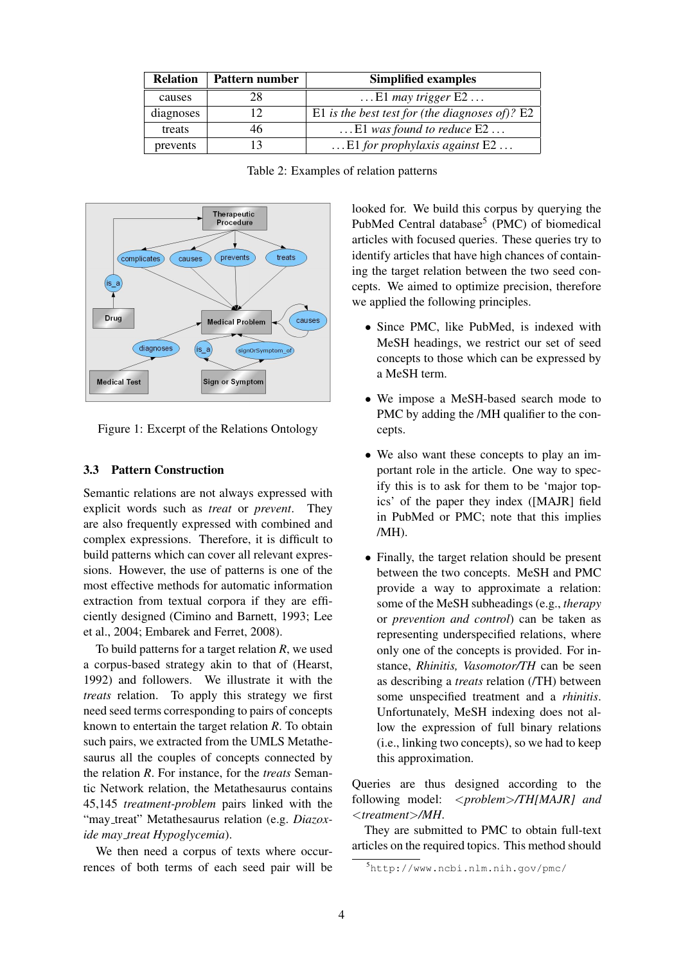| <b>Relation</b> | Pattern number | <b>Simplified examples</b>                       |  |  |  |
|-----------------|----------------|--------------------------------------------------|--|--|--|
| causes          |                | $\dots$ E1 <i>may trigger</i> E2 $\dots$         |  |  |  |
| diagnoses       |                | E1 is the best test for (the diagnoses of)? $E2$ |  |  |  |
| treats          | 46             | $\dots$ E1 was found to reduce E2 $\dots$        |  |  |  |
| prevents        |                | E1 for prophylaxis against $E2$                  |  |  |  |

Table 2: Examples of relation patterns



Figure 1: Excerpt of the Relations Ontology

## 3.3 Pattern Construction

Semantic relations are not always expressed with explicit words such as *treat* or *prevent*. They are also frequently expressed with combined and complex expressions. Therefore, it is difficult to build patterns which can cover all relevant expressions. However, the use of patterns is one of the most effective methods for automatic information extraction from textual corpora if they are efficiently designed (Cimino and Barnett, 1993; Lee et al., 2004; Embarek and Ferret, 2008).

To build patterns for a target relation *R*, we used a corpus-based strategy akin to that of (Hearst, 1992) and followers. We illustrate it with the *treats* relation. To apply this strategy we first need seed terms corresponding to pairs of concepts known to entertain the target relation *R*. To obtain such pairs, we extracted from the UMLS Metathesaurus all the couples of concepts connected by the relation *R*. For instance, for the *treats* Semantic Network relation, the Metathesaurus contains 45,145 *treatment-problem* pairs linked with the "may treat" Metathesaurus relation (e.g. *Diazoxide may treat Hypoglycemia*).

We then need a corpus of texts where occurrences of both terms of each seed pair will be looked for. We build this corpus by querying the PubMed Central database<sup>5</sup> (PMC) of biomedical articles with focused queries. These queries try to identify articles that have high chances of containing the target relation between the two seed concepts. We aimed to optimize precision, therefore we applied the following principles.

- Since PMC, like PubMed, is indexed with MeSH headings, we restrict our set of seed concepts to those which can be expressed by a MeSH term.
- We impose a MeSH-based search mode to PMC by adding the /MH qualifier to the concepts.
- We also want these concepts to play an important role in the article. One way to specify this is to ask for them to be 'major topics' of the paper they index ([MAJR] field in PubMed or PMC; note that this implies /MH).
- Finally, the target relation should be present between the two concepts. MeSH and PMC provide a way to approximate a relation: some of the MeSH subheadings (e.g., *therapy* or *prevention and control*) can be taken as representing underspecified relations, where only one of the concepts is provided. For instance, *Rhinitis, Vasomotor/TH* can be seen as describing a *treats* relation (/TH) between some unspecified treatment and a *rhinitis*. Unfortunately, MeSH indexing does not allow the expression of full binary relations (i.e., linking two concepts), so we had to keep this approximation.

Queries are thus designed according to the following model: <*problem*>*/TH[MAJR] and* <*treatment*>*/MH*.

They are submitted to PMC to obtain full-text articles on the required topics. This method should

<sup>5</sup>http://www.ncbi.nlm.nih.gov/pmc/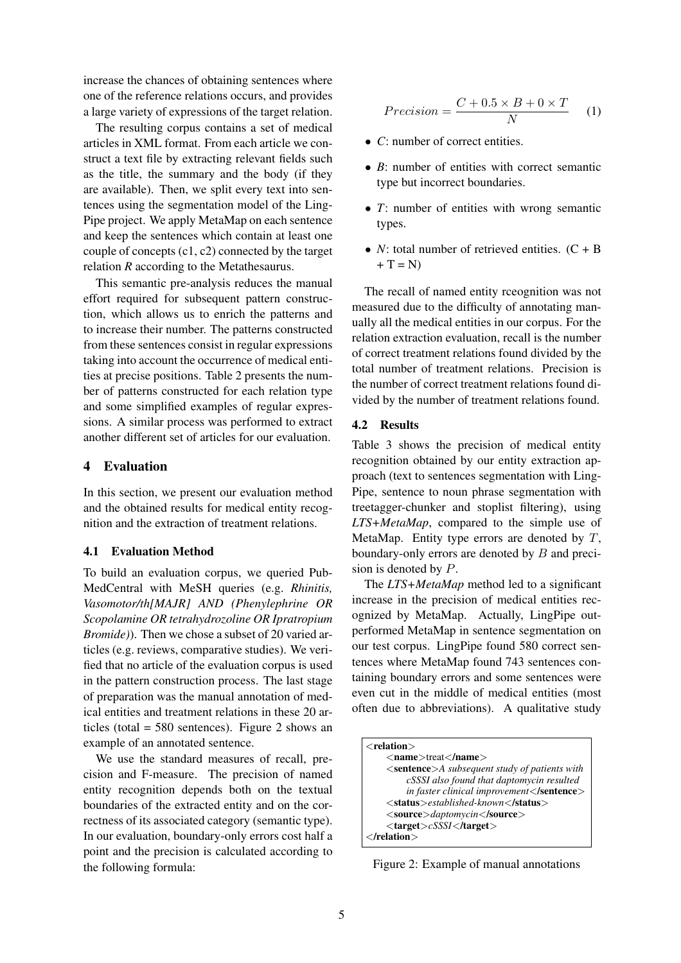increase the chances of obtaining sentences where one of the reference relations occurs, and provides a large variety of expressions of the target relation.

The resulting corpus contains a set of medical articles in XML format. From each article we construct a text file by extracting relevant fields such as the title, the summary and the body (if they are available). Then, we split every text into sentences using the segmentation model of the Ling-Pipe project. We apply MetaMap on each sentence and keep the sentences which contain at least one couple of concepts (c1, c2) connected by the target relation *R* according to the Metathesaurus.

This semantic pre-analysis reduces the manual effort required for subsequent pattern construction, which allows us to enrich the patterns and to increase their number. The patterns constructed from these sentences consist in regular expressions taking into account the occurrence of medical entities at precise positions. Table 2 presents the number of patterns constructed for each relation type and some simplified examples of regular expressions. A similar process was performed to extract another different set of articles for our evaluation.

#### 4 Evaluation

In this section, we present our evaluation method and the obtained results for medical entity recognition and the extraction of treatment relations.

#### 4.1 Evaluation Method

To build an evaluation corpus, we queried Pub-MedCentral with MeSH queries (e.g. *Rhinitis, Vasomotor/th[MAJR] AND (Phenylephrine OR Scopolamine OR tetrahydrozoline OR Ipratropium Bromide*)). Then we chose a subset of 20 varied articles (e.g. reviews, comparative studies). We verified that no article of the evaluation corpus is used in the pattern construction process. The last stage of preparation was the manual annotation of medical entities and treatment relations in these 20 articles (total = 580 sentences). Figure 2 shows an example of an annotated sentence.

We use the standard measures of recall, precision and F-measure. The precision of named entity recognition depends both on the textual boundaries of the extracted entity and on the correctness of its associated category (semantic type). In our evaluation, boundary-only errors cost half a point and the precision is calculated according to the following formula:

$$
Precision = \frac{C + 0.5 \times B + 0 \times T}{N}
$$
 (1)

- *C*: number of correct entities.
- *B*: number of entities with correct semantic type but incorrect boundaries.
- *T*: number of entities with wrong semantic types.
- *N*: total number of retrieved entities.  $(C + B)$  $+ T = N$

The recall of named entity rceognition was not measured due to the difficulty of annotating manually all the medical entities in our corpus. For the relation extraction evaluation, recall is the number of correct treatment relations found divided by the total number of treatment relations. Precision is the number of correct treatment relations found divided by the number of treatment relations found.

#### 4.2 Results

Table 3 shows the precision of medical entity recognition obtained by our entity extraction approach (text to sentences segmentation with Ling-Pipe, sentence to noun phrase segmentation with treetagger-chunker and stoplist filtering), using *LTS+MetaMap*, compared to the simple use of MetaMap. Entity type errors are denoted by  $T$ , boundary-only errors are denoted by B and precision is denoted by  $P$ .

The *LTS+MetaMap* method led to a significant increase in the precision of medical entities recognized by MetaMap. Actually, LingPipe outperformed MetaMap in sentence segmentation on our test corpus. LingPipe found 580 correct sentences where MetaMap found 743 sentences containing boundary errors and some sentences were even cut in the middle of medical entities (most often due to abbreviations). A qualitative study

| $<$ relation $>$                                                         |  |
|--------------------------------------------------------------------------|--|
| $\langle$ name $\rangle$ treat $\langle$ /name $\rangle$                 |  |
| $\leq$ <b>sentence</b> $\geq$ A subsequent study of patients with        |  |
| cSSSI also found that daptomycin resulted                                |  |
| in faster clinical improvement                                           |  |
| $\langle$ status $\rangle$ established-known $\langle$ /status $\rangle$ |  |
| $<$ source $>$ daptomycin $<$ /source $>$                                |  |
| $\langle target \rangle$ <i>cSSSI</i> $\langle$ /target $\rangle$        |  |
| $\langle$ /relation $>$                                                  |  |
|                                                                          |  |

Figure 2: Example of manual annotations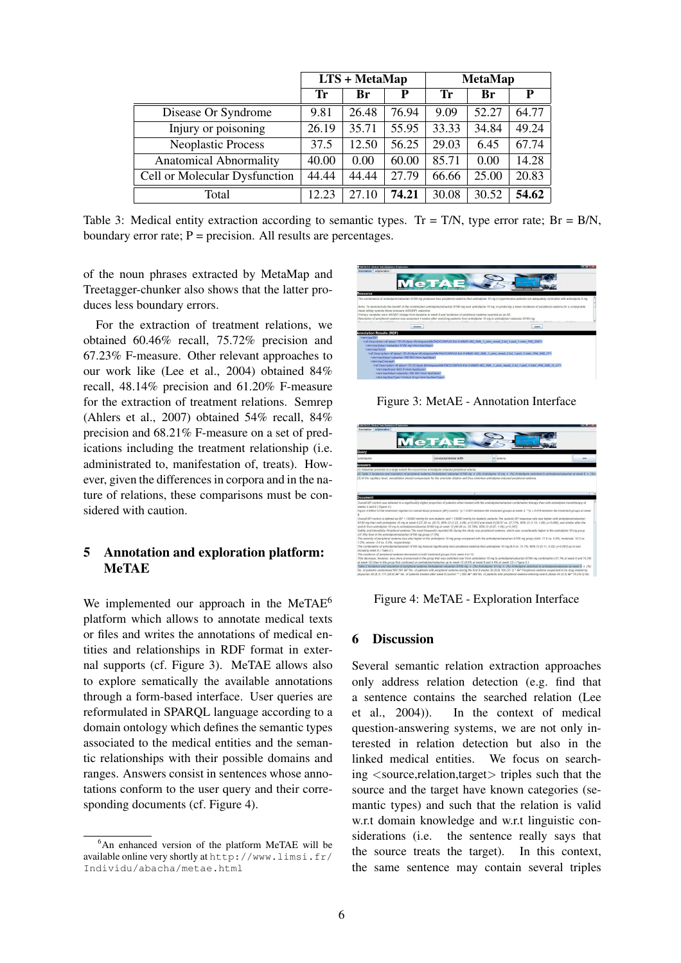|                               | $LTS + MetaMap$ |       |       | <b>MetaMap</b> |       |       |
|-------------------------------|-----------------|-------|-------|----------------|-------|-------|
|                               | Tr              | Br    | P     | Tr             | Br    | P     |
| Disease Or Syndrome           | 9.81            | 26.48 | 76.94 | 9.09           | 52.27 | 64.77 |
| Injury or poisoning           | 26.19           | 35.71 | 55.95 | 33.33          | 34.84 | 49.24 |
| <b>Neoplastic Process</b>     | 37.5            | 12.50 | 56.25 | 29.03          | 6.45  | 67.74 |
| <b>Anatomical Abnormality</b> | 40.00           | 0.00  | 60.00 | 85.71          | 0.00  | 14.28 |
| Cell or Molecular Dysfunction | 44.44           | 44.44 | 27.79 | 66.66          | 25.00 | 20.83 |
| Total                         | 12.23           | 27.10 | 74.21 | 30.08          | 30.52 | 54.62 |

Table 3: Medical entity extraction according to semantic types. Tr = T/N, type error rate;  $Br = B/N$ , boundary error rate;  $P = precision$ . All results are percentages.

of the noun phrases extracted by MetaMap and Treetagger-chunker also shows that the latter produces less boundary errors.

For the extraction of treatment relations, we obtained 60.46% recall, 75.72% precision and 67.23% F-measure. Other relevant approaches to our work like (Lee et al., 2004) obtained 84% recall, 48.14% precision and 61.20% F-measure for the extraction of treatment relations. Semrep (Ahlers et al., 2007) obtained 54% recall, 84% precision and 68.21% F-measure on a set of predications including the treatment relationship (i.e. administrated to, manifestation of, treats). However, given the differences in corpora and in the nature of relations, these comparisons must be considered with caution.

## 5 Annotation and exploration platform: MeTAE

We implemented our approach in the MeTAE<sup>6</sup> platform which allows to annotate medical texts or files and writes the annotations of medical entities and relationships in RDF format in external supports (cf. Figure 3). MeTAE allows also to explore sematically the available annotations through a form-based interface. User queries are reformulated in SPARQL language according to a domain ontology which defines the semantic types associated to the medical entities and the semantic relationships with their possible domains and ranges. Answers consist in sentences whose annotations conform to the user query and their corresponding documents (cf. Figure 4).



Figure 3: MetAE - Annotation Interface



Figure 4: MeTAE - Exploration Interface

## 6 Discussion

Several semantic relation extraction approaches only address relation detection (e.g. find that a sentence contains the searched relation (Lee et al., 2004)). In the context of medical question-answering systems, we are not only interested in relation detection but also in the linked medical entities. We focus on searching <source,relation,target> triples such that the source and the target have known categories (semantic types) and such that the relation is valid w.r.t domain knowledge and w.r.t linguistic considerations (i.e. the sentence really says that the source treats the target). In this context, the same sentence may contain several triples

<sup>&</sup>lt;sup>6</sup>An enhanced version of the platform MeTAE will be available online very shortly at http://www.limsi.fr/ Individu/abacha/metae.html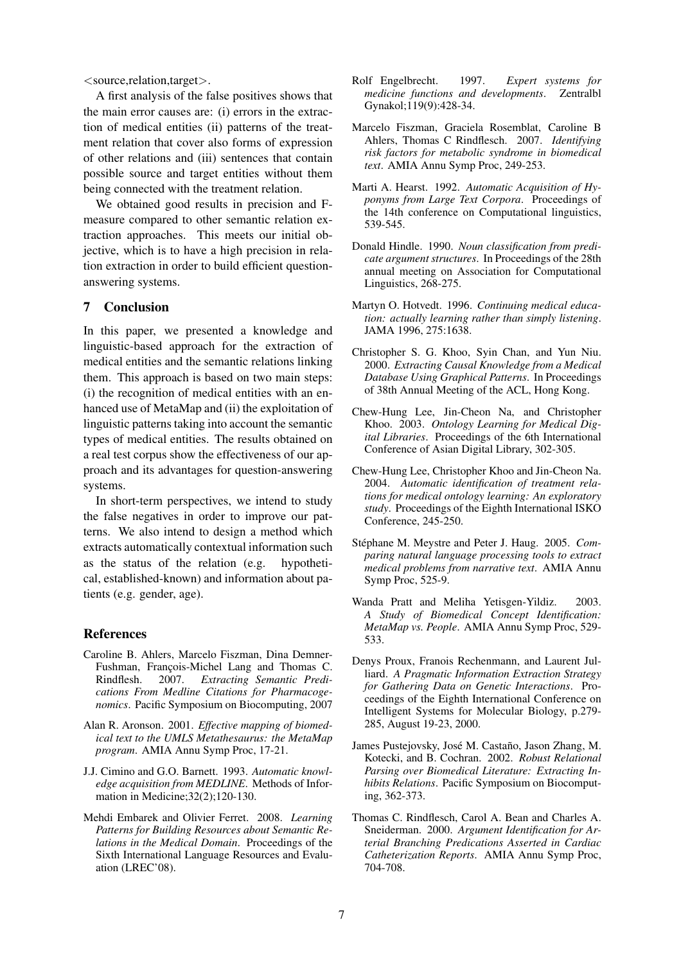<source,relation,target>.

A first analysis of the false positives shows that the main error causes are: (i) errors in the extraction of medical entities (ii) patterns of the treatment relation that cover also forms of expression of other relations and (iii) sentences that contain possible source and target entities without them being connected with the treatment relation.

We obtained good results in precision and Fmeasure compared to other semantic relation extraction approaches. This meets our initial objective, which is to have a high precision in relation extraction in order to build efficient questionanswering systems.

## 7 Conclusion

In this paper, we presented a knowledge and linguistic-based approach for the extraction of medical entities and the semantic relations linking them. This approach is based on two main steps: (i) the recognition of medical entities with an enhanced use of MetaMap and (ii) the exploitation of linguistic patterns taking into account the semantic types of medical entities. The results obtained on a real test corpus show the effectiveness of our approach and its advantages for question-answering systems.

In short-term perspectives, we intend to study the false negatives in order to improve our patterns. We also intend to design a method which extracts automatically contextual information such as the status of the relation (e.g. hypothetical, established-known) and information about patients (e.g. gender, age).

#### References

- Caroline B. Ahlers, Marcelo Fiszman, Dina Demner-Fushman, François-Michel Lang and Thomas C. Rindflesh. 2007. *Extracting Semantic Predications From Medline Citations for Pharmacogenomics*. Pacific Symposium on Biocomputing, 2007
- Alan R. Aronson. 2001. *Effective mapping of biomedical text to the UMLS Metathesaurus: the MetaMap program*. AMIA Annu Symp Proc, 17-21.
- J.J. Cimino and G.O. Barnett. 1993. *Automatic knowledge acquisition from MEDLINE*. Methods of Information in Medicine;32(2);120-130.
- Mehdi Embarek and Olivier Ferret. 2008. *Learning Patterns for Building Resources about Semantic Relations in the Medical Domain*. Proceedings of the Sixth International Language Resources and Evaluation (LREC'08).
- Rolf Engelbrecht. 1997. *Expert systems for medicine functions and developments*. Zentralbl Gynakol;119(9):428-34.
- Marcelo Fiszman, Graciela Rosemblat, Caroline B Ahlers, Thomas C Rindflesch. 2007. *Identifying risk factors for metabolic syndrome in biomedical text*. AMIA Annu Symp Proc, 249-253.
- Marti A. Hearst. 1992. *Automatic Acquisition of Hyponyms from Large Text Corpora*. Proceedings of the 14th conference on Computational linguistics, 539-545.
- Donald Hindle. 1990. *Noun classification from predicate argument structures*. In Proceedings of the 28th annual meeting on Association for Computational Linguistics, 268-275.
- Martyn O. Hotvedt. 1996. *Continuing medical education: actually learning rather than simply listening*. JAMA 1996, 275:1638.
- Christopher S. G. Khoo, Syin Chan, and Yun Niu. 2000. *Extracting Causal Knowledge from a Medical Database Using Graphical Patterns*. In Proceedings of 38th Annual Meeting of the ACL, Hong Kong.
- Chew-Hung Lee, Jin-Cheon Na, and Christopher Khoo. 2003. *Ontology Learning for Medical Digital Libraries*. Proceedings of the 6th International Conference of Asian Digital Library, 302-305.
- Chew-Hung Lee, Christopher Khoo and Jin-Cheon Na. 2004. *Automatic identification of treatment relations for medical ontology learning: An exploratory study*. Proceedings of the Eighth International ISKO Conference, 245-250.
- Stéphane M. Meystre and Peter J. Haug. 2005. Com*paring natural language processing tools to extract medical problems from narrative text*. AMIA Annu Symp Proc, 525-9.
- Wanda Pratt and Meliha Yetisgen-Yildiz. 2003. *A Study of Biomedical Concept Identification: MetaMap vs. People*. AMIA Annu Symp Proc, 529- 533.
- Denys Proux, Franois Rechenmann, and Laurent Julliard. *A Pragmatic Information Extraction Strategy for Gathering Data on Genetic Interactions*. Proceedings of the Eighth International Conference on Intelligent Systems for Molecular Biology, p.279- 285, August 19-23, 2000.
- James Pustejovsky, José M. Castaño, Jason Zhang, M. Kotecki, and B. Cochran. 2002. *Robust Relational Parsing over Biomedical Literature: Extracting Inhibits Relations*. Pacific Symposium on Biocomputing, 362-373.
- Thomas C. Rindflesch, Carol A. Bean and Charles A. Sneiderman. 2000. *Argument Identification for Arterial Branching Predications Asserted in Cardiac Catheterization Reports*. AMIA Annu Symp Proc, 704-708.